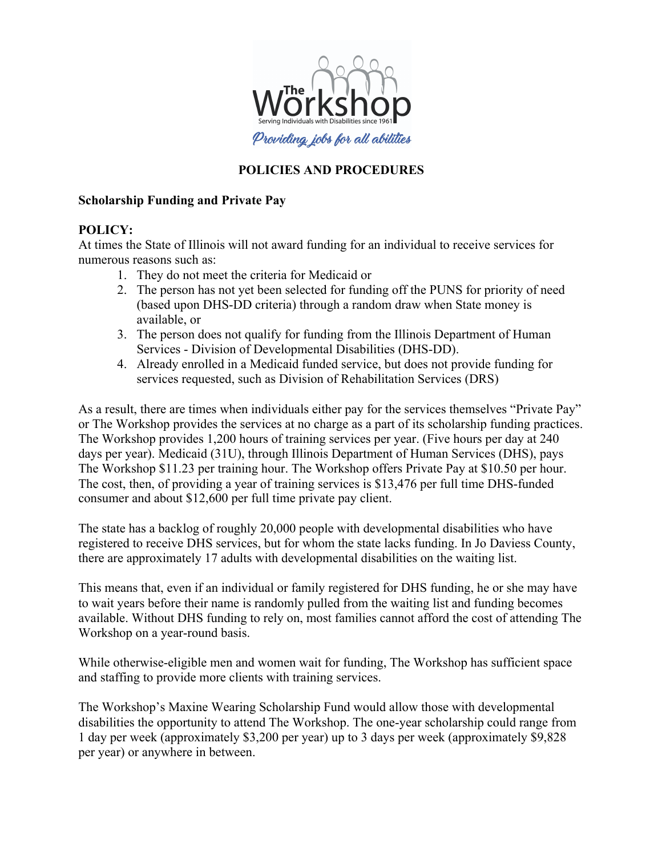

# **POLICIES AND PROCEDURES**

### **Scholarship Funding and Private Pay**

### **POLICY:**

At times the State of Illinois will not award funding for an individual to receive services for numerous reasons such as:

- 1. They do not meet the criteria for Medicaid or
- 2. The person has not yet been selected for funding off the PUNS for priority of need (based upon DHS-DD criteria) through a random draw when State money is available, or
- 3. The person does not qualify for funding from the Illinois Department of Human Services - Division of Developmental Disabilities (DHS-DD).
- 4. Already enrolled in a Medicaid funded service, but does not provide funding for services requested, such as Division of Rehabilitation Services (DRS)

As a result, there are times when individuals either pay for the services themselves "Private Pay" or The Workshop provides the services at no charge as a part of its scholarship funding practices. The Workshop provides 1,200 hours of training services per year. (Five hours per day at 240 days per year). Medicaid (31U), through Illinois Department of Human Services (DHS), pays The Workshop \$11.23 per training hour. The Workshop offers Private Pay at \$10.50 per hour. The cost, then, of providing a year of training services is \$13,476 per full time DHS-funded consumer and about \$12,600 per full time private pay client.

The state has a backlog of roughly 20,000 people with developmental disabilities who have registered to receive DHS services, but for whom the state lacks funding. In Jo Daviess County, there are approximately 17 adults with developmental disabilities on the waiting list.

This means that, even if an individual or family registered for DHS funding, he or she may have to wait years before their name is randomly pulled from the waiting list and funding becomes available. Without DHS funding to rely on, most families cannot afford the cost of attending The Workshop on a year-round basis.

While otherwise-eligible men and women wait for funding, The Workshop has sufficient space and staffing to provide more clients with training services.

The Workshop's Maxine Wearing Scholarship Fund would allow those with developmental disabilities the opportunity to attend The Workshop. The one-year scholarship could range from 1 day per week (approximately \$3,200 per year) up to 3 days per week (approximately \$9,828 per year) or anywhere in between.